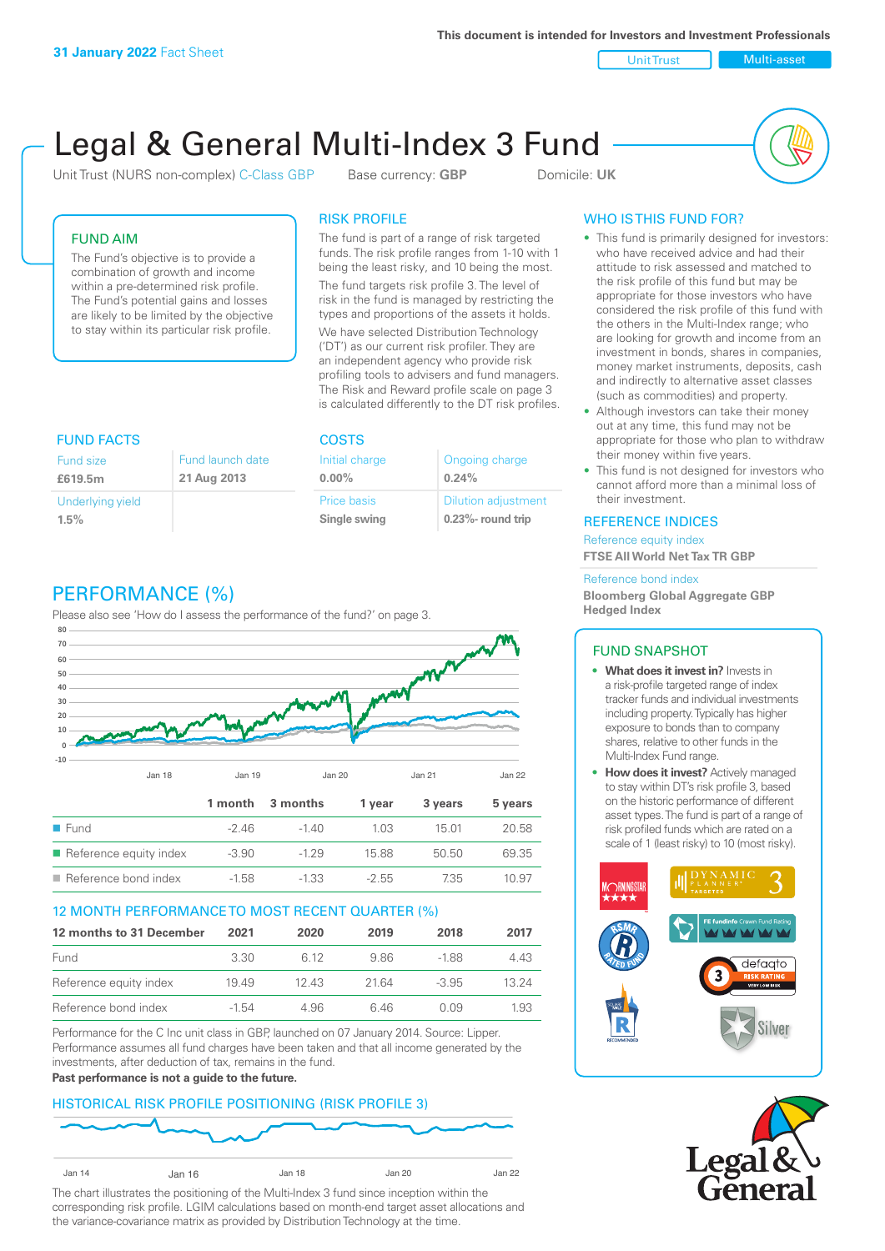**This document is intended for Investors and Investment Professionals**

Unit Trust Nulti-asset

# Legal & General Multi-Index 3 Fund

Unit Trust (NURS non-complex) C-Class GBP Base currency: **GBP** Domicile: UK



### FUND AIM

The Fund's objective is to provide a combination of growth and income within a pre-determined risk profile. The Fund's potential gains and losses are likely to be limited by the objective to stay within its particular risk profile.

### RISK PROFILE

The fund is part of a range of risk targeted funds. The risk profile ranges from 1-10 with 1 being the least risky, and 10 being the most.

The fund targets risk profile 3. The level of risk in the fund is managed by restricting the types and proportions of the assets it holds. We have selected Distribution Technology ('DT') as our current risk profiler. They are an independent agency who provide risk profiling tools to advisers and fund managers. The Risk and Reward profile scale on page 3 is calculated differently to the DT risk profiles.

| <b>FUND FACTS</b> |                  | <b>COSTS</b>   |                            |  |
|-------------------|------------------|----------------|----------------------------|--|
| Fund size         | Fund launch date | Initial charge | Ongoing charge             |  |
| £619.5m           | 21 Aug 2013      | $0.00\%$       | 0.24%                      |  |
| Underlying yield  |                  | Price basis    | <b>Dilution adjustment</b> |  |
| 1.5%              |                  | Single swing   | $0.23\%$ - round trip      |  |

# PERFORMANCE (%)

Please also see 'How do I assess the performance of the fund?' on page 3.



### 12 MONTH PERFORMANCE TO MOST RECENT QUARTER (%)

| 12 months to 31 December | 2021  | 2020 | 2019  | 2018    | 2017  |
|--------------------------|-------|------|-------|---------|-------|
| Fund                     | 3.30  | 6.12 | 986   | -188    | 4.43  |
| Reference equity index   | 1949  | 1243 | 21.64 | $-3.95$ | 13 24 |
| Reference bond index     | -1.54 | 4.96 | 646   | O O.9   | 1.93  |

Performance for the C Inc unit class in GBP, launched on 07 January 2014. Source: Lipper. Performance assumes all fund charges have been taken and that all income generated by the investments, after deduction of tax, remains in the fund.

### **Past performance is not a guide to the future.**

### HISTORICAL RISK PROFILE POSITIONING (RISK PROFILE 3)



The chart illustrates the positioning of the Multi-Index 3 fund since inception within the corresponding risk profile. LGIM calculations based on month-end target asset allocations and the variance-covariance matrix as provided by Distribution Technology at the time.

### WHO IS THIS FUND FOR?

- This fund is primarily designed for investors: who have received advice and had their attitude to risk assessed and matched to the risk profile of this fund but may be appropriate for those investors who have considered the risk profile of this fund with the others in the Multi-Index range; who are looking for growth and income from an investment in bonds, shares in companies, money market instruments, deposits, cash and indirectly to alternative asset classes (such as commodities) and property.
- Although investors can take their money out at any time, this fund may not be appropriate for those who plan to withdraw their money within five years.
- This fund is not designed for investors who cannot afford more than a minimal loss of their investment.

### REFERENCE INDICES

Reference equity index **FTSE All World Net Tax TR GBP**

#### Reference bond index

**Bloomberg Global Aggregate GBP Hedged Index**

### FUND SNAPSHOT

- **• What does it invest in?** Invests in a risk-profile targeted range of index tracker funds and individual investments including property. Typically has higher exposure to bonds than to company shares, relative to other funds in the Multi-Index Fund range.
- **• How does it invest?** Actively managed to stay within DT's risk profile 3, based on the historic performance of different asset types. The fund is part of a range of risk profiled funds which are rated on a scale of 1 (least risky) to 10 (most risky).



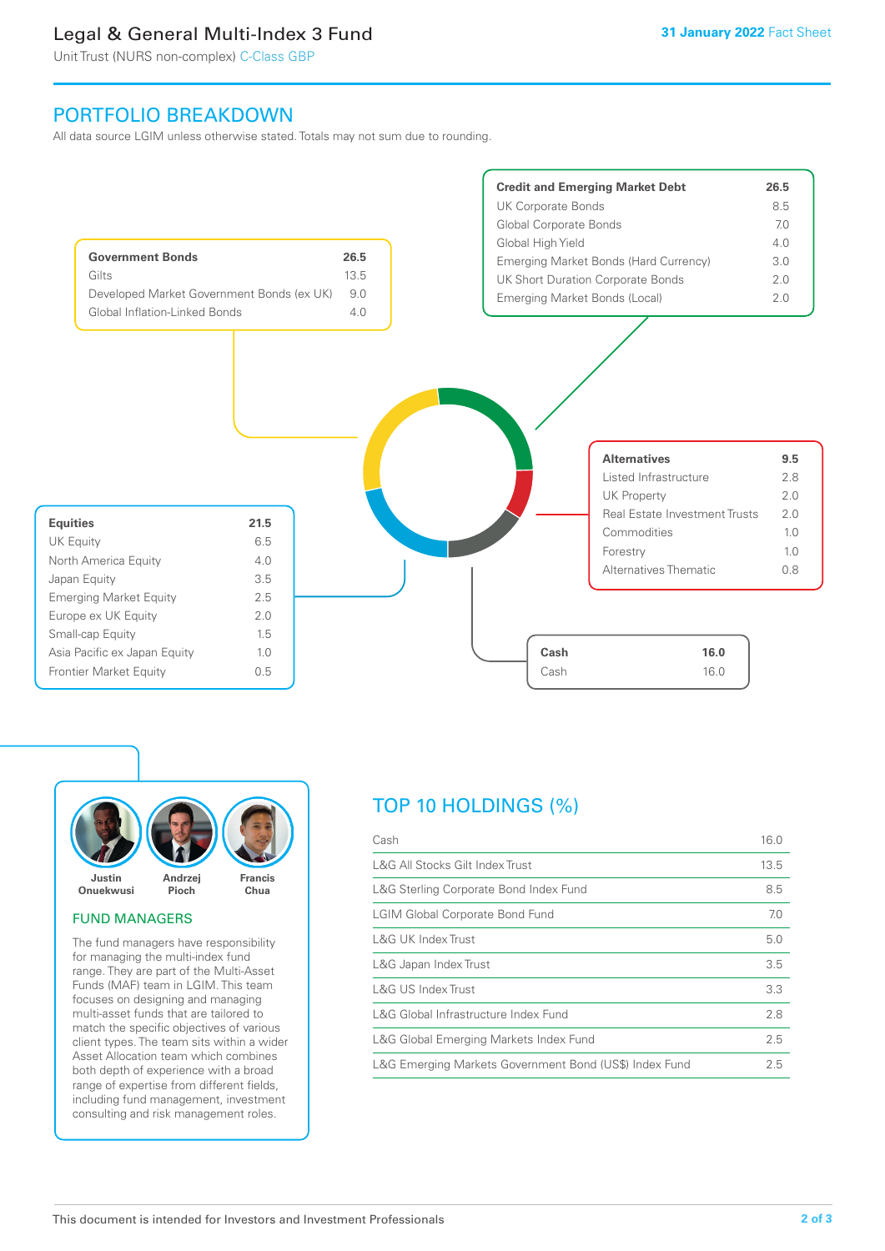## Legal & General Multi-Index 3 Fund

Unit Trust (NURS non-complex) C-Class GBP

### PORTFOLIO BREAKDOWN

All data source LGIM unless otherwise stated. Totals may not sum due to rounding.





### FUND MANAGERS

The fund managers have responsibility for managing the multi-index fund range. They are part of the Multi-Asset Funds (MAF) team in LGIM. This team focuses on designing and managing multi-asset funds that are tailored to match the specific objectives of various client types. The team sits within a wider Asset Allocation team which combines both depth of experience with a broad range of expertise from different fields, including fund management, investment consulting and risk management roles.

# TOP 10 HOLDINGS (%)

| Cash                                                   | 16.0 |
|--------------------------------------------------------|------|
| L&G All Stocks Gilt Index Trust                        | 13.5 |
| L&G Sterling Corporate Bond Index Fund                 | 8.5  |
| <b>LGIM Global Corporate Bond Fund</b>                 | 7.0  |
| L&G UK Index Trust                                     | 5.0  |
| L&G Japan Index Trust                                  | 3.5  |
| L&G US Index Trust                                     | 3.3  |
| L&G Global Infrastructure Index Fund                   | 2.8  |
| L&G Global Emerging Markets Index Fund                 | 2.5  |
| L&G Emerging Markets Government Bond (US\$) Index Fund |      |